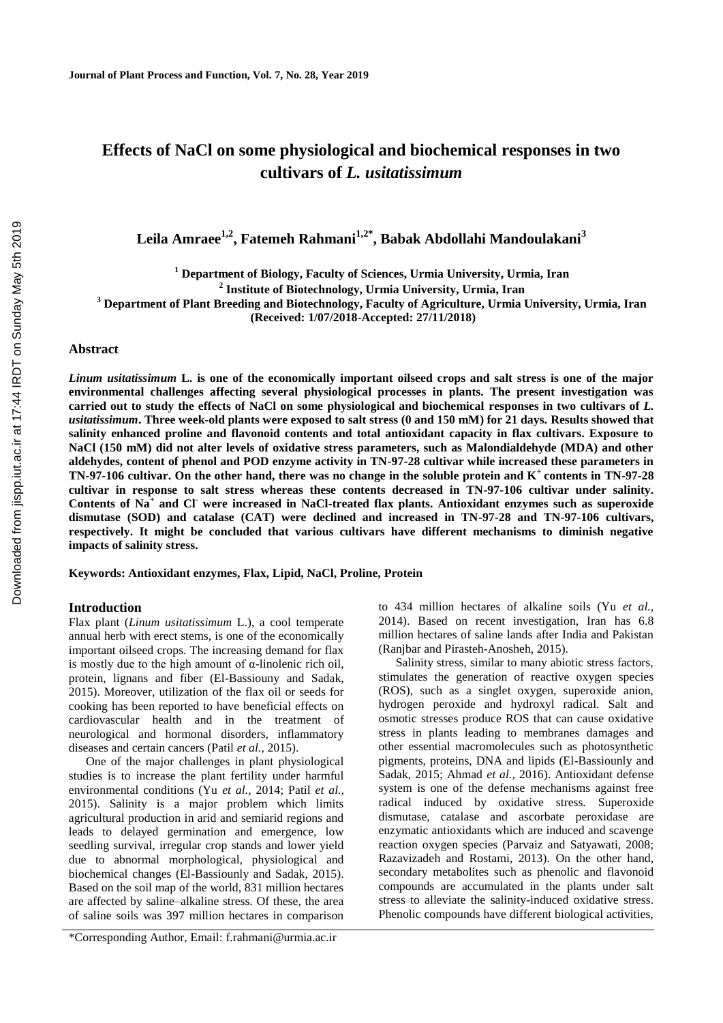# **Effects of NaCl on some physiological and biochemical responses in two cultivars of** *L. usitatissimum*

**Leila Amraee1,2, Fatemeh Rahmani1,2\*, Babak Abdollahi Mandoulakani<sup>3</sup>**

**<sup>1</sup> Department of Biology, Faculty of Sciences, Urmia University, Urmia, Iran**

**2 Institute of Biotechnology, Urmia University, Urmia, Iran**

**<sup>3</sup> Department of Plant Breeding and Biotechnology, Faculty of Agriculture, Urmia University, Urmia, Iran**

**(Received: 1/07/2018-Accepted: 27/11/2018)**

## **Abstract**

*Linum usitatissimum* **L. is one of the economically important oilseed crops and salt stress is one of the major environmental challenges affecting several physiological processes in plants. The present investigation was carried out to study the effects of NaCl on some physiological and biochemical responses in two cultivars of** *L. usitatissimum***. Three week-old plants were exposed to salt stress (0 and 150 mM) for 21 days. Results showed that salinity enhanced proline and flavonoid contents and total antioxidant capacity in flax cultivars. Exposure to NaCl (150 mM) did not alter levels of oxidative stress parameters, such as Malondialdehyde (MDA) and other aldehydes, content of phenol and POD enzyme activity in TN-97-28 cultivar while increased these parameters in TN-97-106 cultivar. On the other hand, there was no change in the soluble protein and K<sup>+</sup>contents in TN-97-28 cultivar in response to salt stress whereas these contents decreased in TN-97-106 cultivar under salinity. Contents of Na<sup>+</sup> and Cl- were increased in NaCl-treated flax plants. Antioxidant enzymes such as superoxide dismutase (SOD) and catalase (CAT) were declined and increased in TN-97-28 and TN-97-106 cultivars, respectively. It might be concluded that various cultivars have different mechanisms to diminish negative impacts of salinity stress.**

**Keywords: Antioxidant enzymes, Flax, Lipid, NaCl, Proline, Protein**

# **Introduction**

Flax plant (*Linum usitatissimum* L.), a cool temperate annual herb with erect stems, is one of the economically important oilseed crops. The increasing demand for flax is mostly due to the high amount of  $\alpha$ -linolenic rich oil, protein, lignans and fiber (El-Bassiouny and Sadak, 2015). Moreover, utilization of the flax oil or seeds for cooking has been reported to have beneficial effects on cardiovascular health and in the treatment of neurological and hormonal disorders, inflammatory diseases and certain cancers (Patil *et al.,* 2015).

One of the major challenges in plant physiological studies is to increase the plant fertility under harmful environmental conditions (Yu *et al.,* 2014; Patil *et al.,* 2015). Salinity is a major problem which limits agricultural production in arid and semiarid regions and leads to delayed germination and emergence, low seedling survival, irregular crop stands and lower yield due to abnormal morphological, physiological and biochemical changes (El-Bassiounly and Sadak, 2015). Based on the soil map of the world, 831 million hectares are affected by saline–alkaline stress. Of these, the area of saline soils was 397 million hectares in comparison

\*Corresponding Author, Email: f.rahmani@urmia.ac.ir

to 434 million hectares of alkaline soils (Yu *et al.,* 2014). Based on recent investigation, Iran has 6.8 million hectares of saline lands after India and Pakistan (Ranjbar and Pirasteh-Anosheh, 2015).

Salinity stress, similar to many abiotic stress factors, stimulates the generation of reactive oxygen species (ROS), such as a singlet oxygen, superoxide anion, hydrogen peroxide and hydroxyl radical. Salt and osmotic stresses produce ROS that can cause oxidative stress in plants leading to membranes damages and other essential macromolecules such as photosynthetic pigments, proteins, DNA and lipids (El-Bassiounly and Sadak, 2015; Ahmad *et al.,* 2016). Antioxidant defense system is one of the defense mechanisms against free radical induced by oxidative stress. Superoxide dismutase, catalase and ascorbate peroxidase are enzymatic antioxidants which are induced and scavenge reaction oxygen species (Parvaiz and Satyawati, 2008; Razavizadeh and Rostami, 2013). On the other hand, secondary metabolites such as phenolic and flavonoid compounds are accumulated in the plants under salt stress to alleviate the salinity-induced oxidative stress. Phenolic compounds have different biological activities,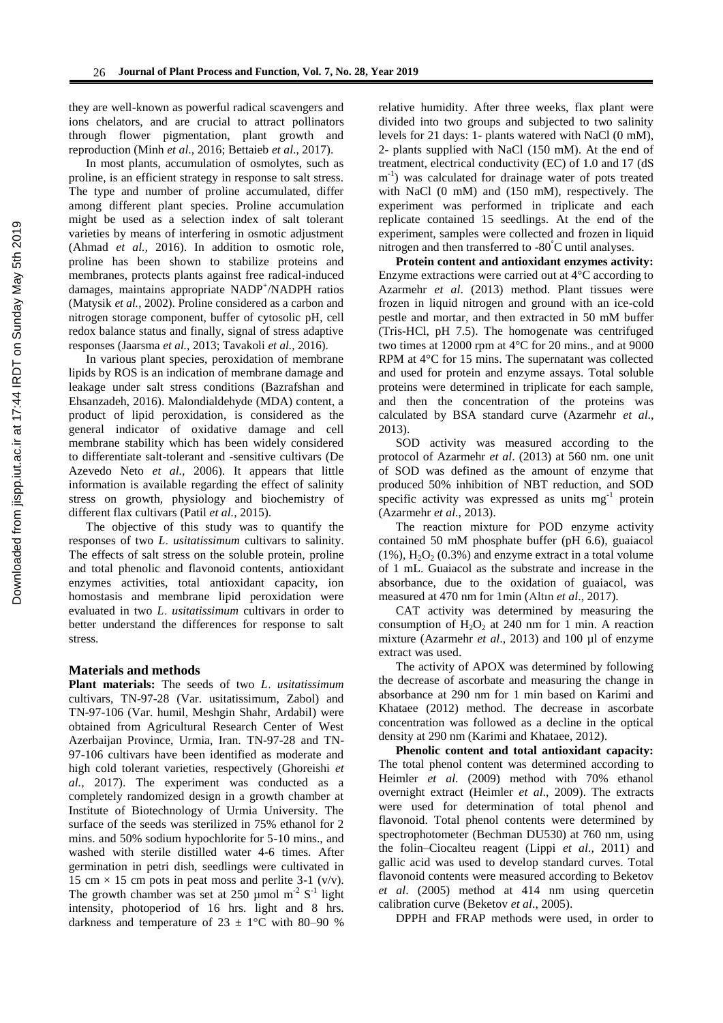they are well-known as powerful radical scavengers and ions chelators, and are crucial to attract pollinators through flower pigmentation, plant growth and reproduction (Minh *et al*., 2016; Bettaieb *et al*., 2017).

In most plants, accumulation of osmolytes, such as proline, is an efficient strategy in response to salt stress. The type and number of proline accumulated, differ among different plant species. Proline accumulation might be used as a selection index of salt tolerant varieties by means of interfering in osmotic adjustment (Ahmad *et al.,* 2016). In addition to osmotic role, proline has been shown to stabilize proteins and membranes, protects plants against free radical-induced damages, maintains appropriate NADP<sup>+</sup>/NADPH ratios (Matysik *et al.,* 2002). Proline considered as a carbon and nitrogen storage component, buffer of cytosolic pH, cell redox balance status and finally, signal of stress adaptive responses (Jaarsma *et al.,* 2013; Tavakoli *et al.,* 2016).

In various plant species, peroxidation of membrane lipids by ROS is an indication of membrane damage and leakage under salt stress conditions (Bazrafshan and Ehsanzadeh, 2016). Malondialdehyde (MDA) content, a product of lipid peroxidation, is considered as the general indicator of oxidative damage and cell membrane stability which has been widely considered to differentiate salt-tolerant and -sensitive cultivars (De Azevedo Neto *et al.,* 2006). It appears that little information is available regarding the effect of salinity stress on growth, physiology and biochemistry of different flax cultivars (Patil *et al.,* 2015).

The objective of this study was to quantify the responses of two *L*. *usitatissimum* cultivars to salinity. The effects of salt stress on the soluble protein, proline and total phenolic and flavonoid contents, antioxidant enzymes activities, total antioxidant capacity, ion homostasis and membrane lipid peroxidation were evaluated in two *L*. *usitatissimum* cultivars in order to better understand the differences for response to salt stress.

#### **Materials and methods**

**Plant materials:** The seeds of two *L*. *usitatissimum* cultivars, TN-97-28 (Var. usitatissimum, Zabol) and TN-97-106 (Var. humil, Meshgin Shahr, Ardabil) were obtained from Agricultural Research Center of West Azerbaijan Province, Urmia, Iran. TN-97-28 and TN-97-106 cultivars have been identified as moderate and high cold tolerant varieties, respectively (Ghoreishi *et al.*, 2017). The experiment was conducted as a completely randomized design in a growth chamber at Institute of Biotechnology of Urmia University. The surface of the seeds was sterilized in 75% ethanol for 2 mins. and 50% sodium hypochlorite for 5-10 mins., and washed with sterile distilled water 4-6 times. After germination in petri dish, seedlings were cultivated in 15 cm  $\times$  15 cm pots in peat moss and perlite 3-1 (v/v). The growth chamber was set at 250  $\mu$ mol m<sup>-2</sup> S<sup>-1</sup> light intensity, photoperiod of 16 hrs. light and 8 hrs. darkness and temperature of  $23 \pm 1$ °C with 80–90 %

relative humidity. After three weeks, flax plant were divided into two groups and subjected to two salinity levels for 21 days: 1- plants watered with NaCl (0 mM), 2- plants supplied with NaCl (150 mM). At the end of treatment, electrical conductivity (EC) of 1.0 and 17 (dS m<sup>-1</sup>) was calculated for drainage water of pots treated with NaCl (0 mM) and (150 mM), respectively. The experiment was performed in triplicate and each replicate contained 15 seedlings. At the end of the experiment, samples were collected and frozen in liquid nitrogen and then transferred to -80°C until analyses.

**Protein content and antioxidant enzymes activity:** Enzyme extractions were carried out at 4°C according to Azarmehr *et al*. (2013) method. Plant tissues were frozen in liquid nitrogen and ground with an ice-cold pestle and mortar, and then extracted in 50 mM buffer (Tris-HCl, pH 7.5). The homogenate was centrifuged two times at 12000 rpm at 4°C for 20 mins., and at 9000 RPM at 4°C for 15 mins. The supernatant was collected and used for protein and enzyme assays. Total soluble proteins were determined in triplicate for each sample, and then the concentration of the proteins was calculated by BSA standard curve (Azarmehr *et al*., 2013).

SOD activity was measured according to the protocol of Azarmehr *et al*. (2013) at 560 nm. one unit of SOD was defined as the amount of enzyme that produced 50% inhibition of NBT reduction, and SOD specific activity was expressed as units  $mg^{-1}$  protein (Azarmehr *et al*., 2013).

The reaction mixture for POD enzyme activity contained 50 mM phosphate buffer (pH 6.6), guaiacol  $(1\%)$ ,  $H_2O_2$  (0.3%) and enzyme extract in a total volume of 1 mL. Guaiacol as the substrate and increase in the absorbance, due to the oxidation of guaiacol, was measured at 470 nm for 1min (Altın *et al*., 2017).

CAT activity was determined by measuring the consumption of  $H_2O_2$  at 240 nm for 1 min. A reaction mixture (Azarmehr *et al*., 2013) and 100 µl of enzyme extract was used.

The activity of APOX was determined by following the decrease of ascorbate and measuring the change in absorbance at 290 nm for 1 min based on Karimi and Khataee (2012) method. The decrease in ascorbate concentration was followed as a decline in the optical density at 290 nm (Karimi and Khataee, 2012).

**Phenolic content and total antioxidant capacity:**  The total phenol content was determined according to Heimler *et al*. (2009) method with 70% ethanol overnight extract (Heimler *et al*., 2009). The extracts were used for determination of total phenol and flavonoid. Total phenol contents were determined by spectrophotometer (Bechman DU530) at 760 nm, using the folin–Ciocalteu reagent (Lippi *et al*., 2011) and gallic acid was used to develop standard curves. Total flavonoid contents were measured according to Beketov *et al*. (2005) method at 414 nm using quercetin calibration curve (Beketov *et al*., 2005).

DPPH and FRAP methods were used, in order to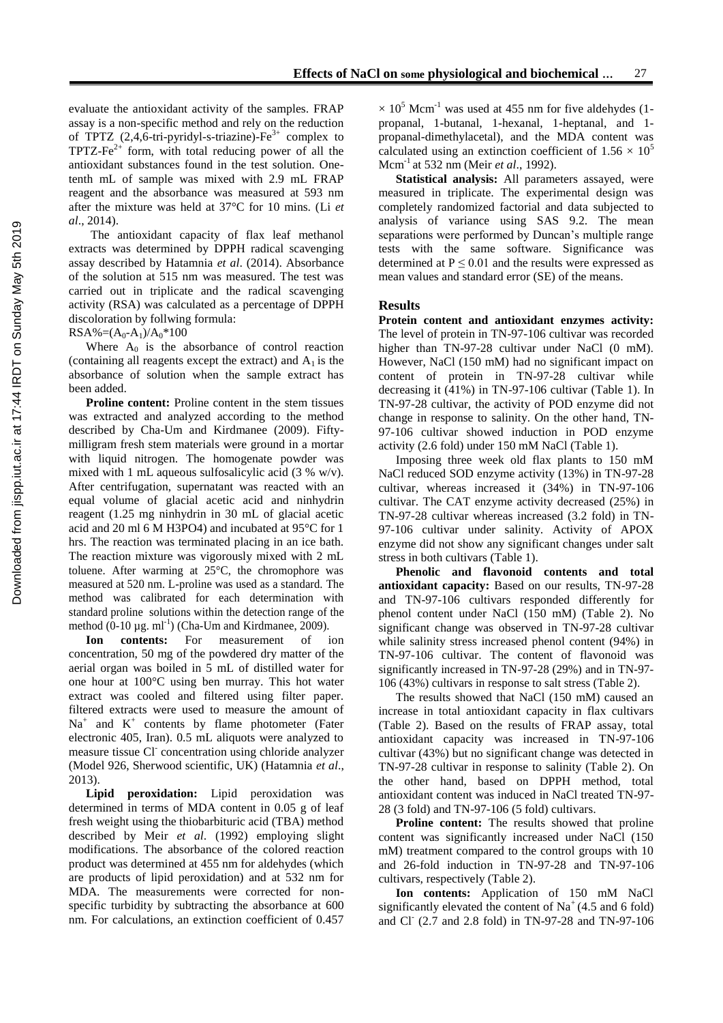evaluate the antioxidant activity of the samples. FRAP assay is a non-specific method and rely on the reduction of TPTZ  $(2,4,6$ -tri-pyridyl-s-triazine)-Fe<sup>3+</sup> complex to TPTZ-Fe $2+$  form, with total reducing power of all the antioxidant substances found in the test solution. Onetenth mL of sample was mixed with 2.9 mL FRAP reagent and the absorbance was measured at 593 nm after the mixture was held at 37°C for 10 mins. (Li *et al*., 2014).

The antioxidant capacity of flax leaf methanol extracts was determined by DPPH radical scavenging assay described by Hatamnia *et al*. (2014). Absorbance of the solution at 515 nm was measured. The test was carried out in triplicate and the radical scavenging activity (RSA) was calculated as a percentage of DPPH discoloration by follwing formula:

 $RSA\%=(A_0-A_1)/A_0*100$ 

Where  $A_0$  is the absorbance of control reaction (containing all reagents except the extract) and  $A_1$  is the absorbance of solution when the sample extract has been added.

**Proline content:** Proline content in the stem tissues was extracted and analyzed according to the method described by Cha-Um and Kirdmanee (2009). Fiftymilligram fresh stem materials were ground in a mortar with liquid nitrogen. The homogenate powder was mixed with 1 mL aqueous sulfosalicylic acid (3 % w/v). After centrifugation, supernatant was reacted with an equal volume of glacial acetic acid and ninhydrin reagent (1.25 mg ninhydrin in 30 mL of glacial acetic acid and 20 ml 6 M H3PO4) and incubated at 95°C for 1 hrs. The reaction was terminated placing in an ice bath. The reaction mixture was vigorously mixed with 2 mL toluene. After warming at 25°C, the chromophore was measured at 520 nm. L-proline was used as a standard. The method was calibrated for each determination with standard proline solutions within the detection range of the method  $(0-10 \mu g. ml^{-1})$  (Cha-Um and Kirdmanee, 2009).

**Ion contents:** For measurement of ion concentration, 50 mg of the powdered dry matter of the aerial organ was boiled in 5 mL of distilled water for one hour at 100°C using ben murray. This hot water extract was cooled and filtered using filter paper. filtered extracts were used to measure the amount of  $Na<sup>+</sup>$  and  $K<sup>+</sup>$  contents by flame photometer (Fater electronic 405, Iran). 0.5 mL aliquots were analyzed to measure tissue Cl<sup>-</sup> concentration using chloride analyzer (Model 926, Sherwood scientific, UK) (Hatamnia *et al*., 2013).

**Lipid peroxidation:** Lipid peroxidation was determined in terms of MDA content in 0.05 g of leaf fresh weight using the thiobarbituric acid (TBA) method described by Meir *et al*. (1992) employing slight modifications. The absorbance of the colored reaction product was determined at 455 nm for aldehydes (which are products of lipid peroxidation) and at 532 nm for MDA. The measurements were corrected for nonspecific turbidity by subtracting the absorbance at 600 nm. For calculations, an extinction coefficient of 0.457

 $\times$  10<sup>5</sup> Mcm<sup>-1</sup> was used at 455 nm for five aldehydes (1propanal, 1-butanal, 1-hexanal, 1-heptanal, and 1 propanal-dimethylacetal), and the MDA content was calculated using an extinction coefficient of  $1.56 \times 10^5$ Mcm-1 at 532 nm (Meir *et al*., 1992).

**Statistical analysis:** All parameters assayed, were measured in triplicate. The experimental design was completely randomized factorial and data subjected to analysis of variance using SAS 9.2. The mean separations were performed by Duncan's multiple range tests with the same software. Significance was determined at  $P \le 0.01$  and the results were expressed as mean values and standard error (SE) of the means.

#### **Results**

**Protein content and antioxidant enzymes activity:**  The level of protein in TN-97-106 cultivar was recorded higher than TN-97-28 cultivar under NaCl (0 mM). However, NaCl (150 mM) had no significant impact on content of protein in TN-97-28 cultivar while decreasing it (41%) in TN-97-106 cultivar (Table 1). In TN-97-28 cultivar, the activity of POD enzyme did not change in response to salinity. On the other hand, TN-97-106 cultivar showed induction in POD enzyme activity (2.6 fold) under 150 mM NaCl (Table 1).

Imposing three week old flax plants to 150 mM NaCl reduced SOD enzyme activity (13%) in TN-97-28 cultivar, whereas increased it (34%) in TN-97-106 cultivar. The CAT enzyme activity decreased (25%) in TN-97-28 cultivar whereas increased (3.2 fold) in TN-97-106 cultivar under salinity. Activity of APOX enzyme did not show any significant changes under salt stress in both cultivars (Table 1).

**Phenolic and flavonoid contents and total antioxidant capacity:** Based on our results, TN-97-28 and TN-97-106 cultivars responded differently for phenol content under NaCl (150 mM) (Table 2). No significant change was observed in TN-97-28 cultivar while salinity stress increased phenol content (94%) in TN-97-106 cultivar. The content of flavonoid was significantly increased in TN-97-28 (29%) and in TN-97- 106 (43%) cultivars in response to salt stress (Table 2).

The results showed that NaCl (150 mM) caused an increase in total antioxidant capacity in flax cultivars (Table 2). Based on the results of FRAP assay, total antioxidant capacity was increased in TN-97-106 cultivar (43%) but no significant change was detected in TN-97-28 cultivar in response to salinity (Table 2). On the other hand, based on DPPH method, total antioxidant content was induced in NaCl treated TN-97- 28 (3 fold) and TN-97-106 (5 fold) cultivars.

**Proline content:** The results showed that proline content was significantly increased under NaCl (150 mM) treatment compared to the control groups with 10 and 26-fold induction in TN-97-28 and TN-97-106 cultivars, respectively (Table 2).

**Ion contents:** Application of 150 mM NaCl significantly elevated the content of  $Na<sup>+</sup>(4.5$  and 6 fold) and Cl- (2.7 and 2.8 fold) in TN-97-28 and TN-97-106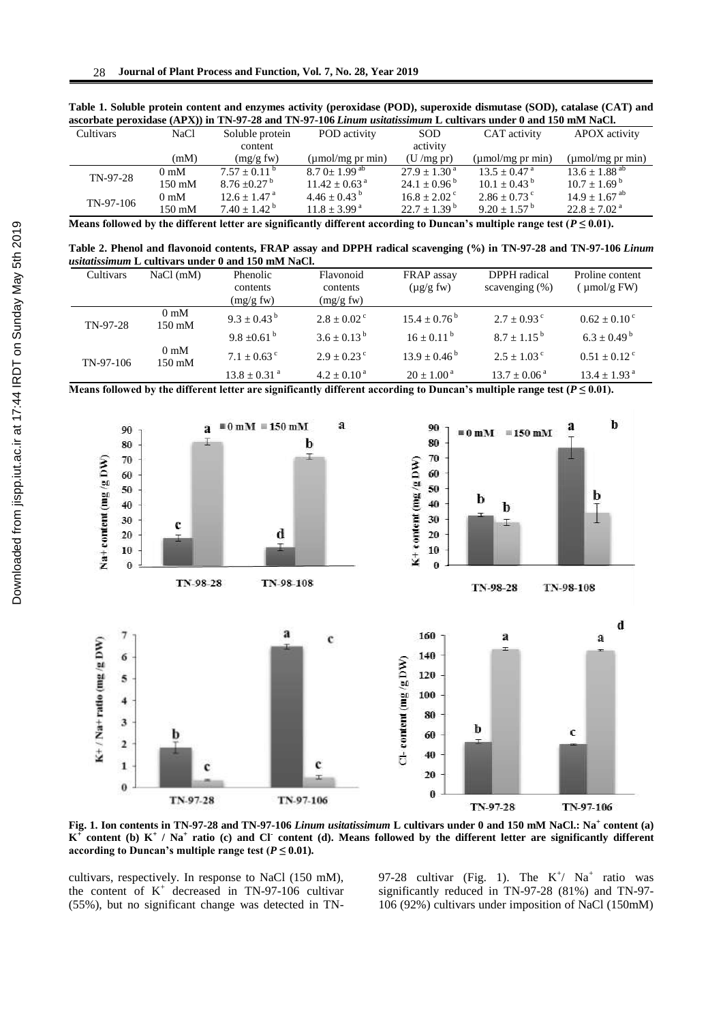| ascorbate peroxidase (APA)) in Tin-97-26 and Tin-97-100 <i>limum usualissimum</i> L cultivars under 0 and 150 mini nact. |                  |                              |                               |                              |                            |                               |  |  |  |
|--------------------------------------------------------------------------------------------------------------------------|------------------|------------------------------|-------------------------------|------------------------------|----------------------------|-------------------------------|--|--|--|
| Cultivars                                                                                                                | NaCl             | Soluble protein              | POD activity                  | <b>SOD</b>                   | CAT activity               | APOX activity                 |  |  |  |
|                                                                                                                          |                  | content                      |                               | activity                     |                            |                               |  |  |  |
|                                                                                                                          | (mM)             | (mg/g fw)                    | $(\mu$ mol/mg pr min $)$      | (U/mg pr)                    | $\mu$ mol/mg pr min        | $(\mu \text{mol/mg pr min})$  |  |  |  |
| TN-97-28                                                                                                                 | $0 \text{ mM}$   | $7.57 \pm 0.11^{\text{b}}$   | $8.70 + 1.99$ <sup>ab</sup>   | $27.9 \pm 1.30^{\text{ a}}$  | $13.5 + 0.47$ <sup>a</sup> | $13.6 \pm 1.88$ <sup>ab</sup> |  |  |  |
|                                                                                                                          | $150 \text{ mM}$ | $8.76 \pm 0.27$ <sup>b</sup> | $11.42 \pm 0.63$ <sup>a</sup> | $24.1 \pm 0.96^{\mathrm{b}}$ | $10.1 + 0.43^{\text{b}}$   | $10.7 \pm 1.69^{\text{ b}}$   |  |  |  |
| TN-97-106                                                                                                                | 0 <sub>m</sub> M | $12.6 + 1.47$ <sup>a</sup>   | $4.46 \pm 0.43^{\circ}$       | $16.8 \pm 2.02$ <sup>c</sup> | $2.86 \pm 0.73$ c          | $14.9 \pm 1.67$ <sup>ab</sup> |  |  |  |
|                                                                                                                          | $150 \text{ mM}$ | $7.40 + 1.42^b$              | $11.8 \pm 3.99^{\text{ a}}$   | $22.7 \pm 1.39^{\mathrm{b}}$ | $9.20 \pm 1.57^{\circ}$    | $22.8 \pm 7.02$ <sup>a</sup>  |  |  |  |

**Table 1. Soluble protein content and enzymes activity (peroxidase (POD), superoxide dismutase (SOD), catalase (CAT) and ascorbate peroxidase (APX)) in TN-97-28 and TN-97-106** *Linum usitatissimum* **L cultivars under 0 and 150 mM NaCl.** 

**Means followed by the different letter are significantly different according to Duncan's multiple range test (** $P \le 0.01$ **).** 

**Table 2. Phenol and flavonoid contents, FRAP assay and DPPH radical scavenging (%) in TN-97-28 and TN-97-106** *Linum usitatissimum* **L cultivars under 0 and 150 mM NaCl.** 

| Cultivars | $NaCl$ (mM)                        | Phenolic<br>contents<br>(mg/g f w) | Flavonoid<br>contents<br>(mg/g f w) | FRAP assay<br>$(\mu g/g f w)$ | DPPH radical<br>scavenging $(\%)$ | Proline content<br>$\mu$ mol/g FW) |
|-----------|------------------------------------|------------------------------------|-------------------------------------|-------------------------------|-----------------------------------|------------------------------------|
| TN-97-28  | $0 \text{ mM}$<br>$150 \text{ mM}$ | $9.3 \pm 0.43^{\mathrm{b}}$        | $2.8 + 0.02^{\circ}$                | $15.4 + 0.76^{\circ}$         | $2.7 + 0.93^{\circ}$              | $0.62 \pm 0.10^{\circ}$            |
|           |                                    | $9.8 + 0.61^{b}$                   | $3.6 + 0.13^{b}$                    | $16 + 0.11^{b}$               | $8.7 + 1.15^{b}$                  | $6.3 + 0.49^{\text{b}}$            |
| TN-97-106 | $0 \text{ mM}$<br>$150 \text{ mM}$ | $7.1 + 0.63$ <sup>c</sup>          | $2.9 + 0.23$ °                      | $13.9 + 0.46^{\mathrm{b}}$    | $2.5 + 1.03^{\circ}$              | $0.51 + 0.12$ <sup>c</sup>         |
|           |                                    | $13.8 \pm 0.31$ <sup>a</sup>       | $4.2 + 0.10^{\text{a}}$             | $20 + 1.00^{\text{a}}$        | $13.7 + 0.06^{\text{a}}$          | $13.4 \pm 1.93$ <sup>a</sup>       |

**Means followed by the different letter are significantly different according to Duncan's multiple range test (** $P \le 0.01$ **).** 



**Fig. 1. Ion contents in TN-97-28 and TN-97-106** *Linum usitatissimum* **L cultivars under 0 and 150 mM NaCl.: Na<sup>+</sup> content (a)**   $K^+$  content (b)  $K^+$  / Na<sup>+</sup> ratio (c) and Cl<sup>-</sup> content (d). Means followed by the different letter are significantly different **according to Duncan's multiple range test (** $P \leq 0.01$ **).** 

cultivars, respectively. In response to NaCl (150 mM), the content of  $K^+$  decreased in TN-97-106 cultivar (55%), but no significant change was detected in TN-

97-28 cultivar (Fig. 1). The  $K^{\dagger}$  Na<sup>+</sup> ratio was significantly reduced in TN-97-28 (81%) and TN-97- 106 (92%) cultivars under imposition of NaCl (150mM)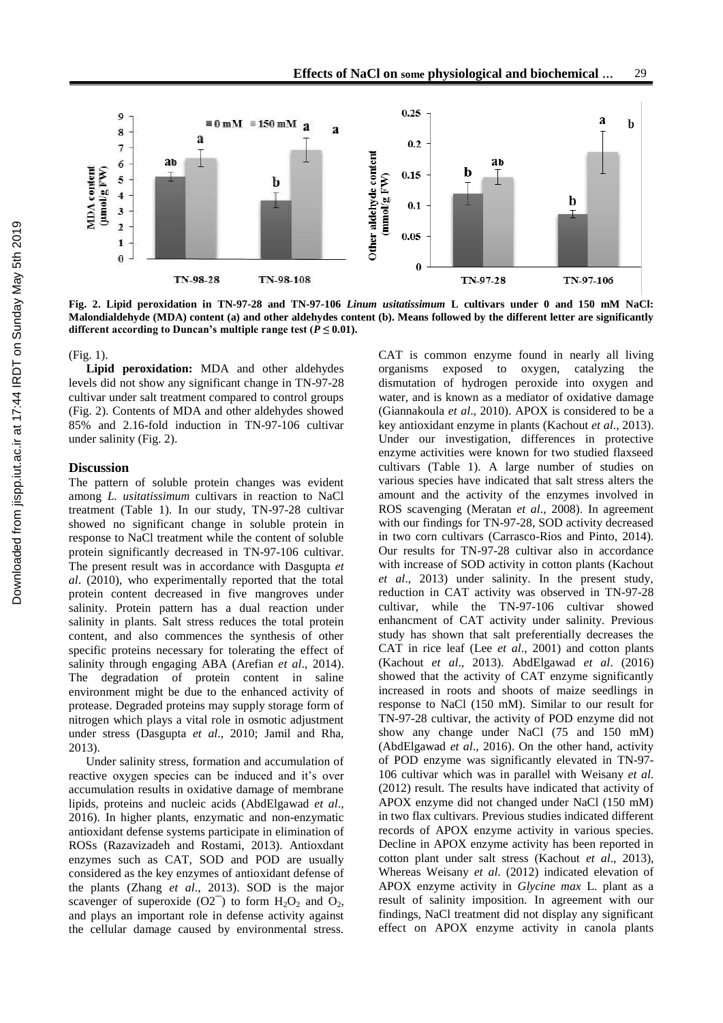

**Fig. 2. Lipid peroxidation in TN-97-28 and TN-97-106** *Linum usitatissimum* **L cultivars under 0 and 150 mM NaCl: Malondialdehyde (MDA) content (a) and other aldehydes content (b). Means followed by the different letter are significantly**  different according to Duncan's multiple range test  $(P \le 0.01)$ .

#### (Fig. 1).

**Lipid peroxidation:** MDA and other aldehydes levels did not show any significant change in TN-97-28 cultivar under salt treatment compared to control groups (Fig. 2). Contents of MDA and other aldehydes showed 85% and 2.16-fold induction in TN-97-106 cultivar under salinity (Fig. 2).

### **Discussion**

The pattern of soluble protein changes was evident among *L. usitatissimum* cultivars in reaction to NaCl treatment (Table 1). In our study, TN-97-28 cultivar showed no significant change in soluble protein in response to NaCl treatment while the content of soluble protein significantly decreased in TN-97-106 cultivar. The present result was in accordance with Dasgupta *et al*. (2010), who experimentally reported that the total protein content decreased in five mangroves under salinity. Protein pattern has a dual reaction under salinity in plants. Salt stress reduces the total protein content, and also commences the synthesis of other specific proteins necessary for tolerating the effect of salinity through engaging ABA (Arefian *et al*., 2014). The degradation of protein content in saline environment might be due to the enhanced activity of protease. Degraded proteins may supply storage form of nitrogen which plays a vital role in osmotic adjustment under stress (Dasgupta *et al*., 2010; Jamil and Rha, 2013).

Under salinity stress, formation and accumulation of reactive oxygen species can be induced and it's over accumulation results in oxidative damage of membrane lipids, proteins and nucleic acids (AbdElgawad *et al*., 2016). In higher plants, enzymatic and non-enzymatic antioxidant defense systems participate in elimination of ROSs (Razavizadeh and Rostami, 2013). Antioxdant enzymes such as CAT, SOD and POD are usually considered as the key enzymes of antioxidant defense of the plants (Zhang *et al*., 2013). SOD is the major scavenger of superoxide  $(O2^-)$  to form  $H_2O_2$  and  $O_2$ , and plays an important role in defense activity against the cellular damage caused by environmental stress.

CAT is common enzyme found in nearly all living organisms exposed to oxygen, catalyzing the dismutation of hydrogen peroxide into oxygen and water, and is known as a mediator of oxidative damage (Giannakoula *et al*., 2010). APOX is considered to be a key antioxidant enzyme in plants (Kachout *et al*., 2013). Under our investigation, differences in protective enzyme activities were known for two studied flaxseed cultivars (Table 1). A large number of studies on various species have indicated that salt stress alters the amount and the activity of the enzymes involved in ROS scavenging (Meratan *et al*., 2008). In agreement with our findings for TN-97-28, SOD activity decreased in two corn cultivars (Carrasco-Rios and Pinto, 2014). Our results for TN-97-28 cultivar also in accordance with increase of SOD activity in cotton plants (Kachout *et al*., 2013) under salinity. In the present study, reduction in CAT activity was observed in TN-97-28 cultivar, while the TN-97-106 cultivar showed enhancment of CAT activity under salinity. Previous study has shown that salt preferentially decreases the CAT in rice leaf (Lee *et al*., 2001) and cotton plants (Kachout *et al*., 2013). AbdElgawad *et al*. (2016) showed that the activity of CAT enzyme significantly increased in roots and shoots of maize seedlings in response to NaCl (150 mM). Similar to our result for TN-97-28 cultivar, the activity of POD enzyme did not show any change under NaCl (75 and 150 mM) (AbdElgawad *et al*., 2016). On the other hand, activity of POD enzyme was significantly elevated in TN-97- 106 cultivar which was in parallel with Weisany *et al*. (2012) result. The results have indicated that activity of APOX enzyme did not changed under NaCl (150 mM) in two flax cultivars. Previous studies indicated different records of APOX enzyme activity in various species. Decline in APOX enzyme activity has been reported in cotton plant under salt stress (Kachout *et al*., 2013), Whereas Weisany *et al*. (2012) indicated elevation of APOX enzyme activity in *Glycine max* L. plant as a result of salinity imposition. In agreement with our findings, NaCl treatment did not display any significant effect on APOX enzyme activity in canola plants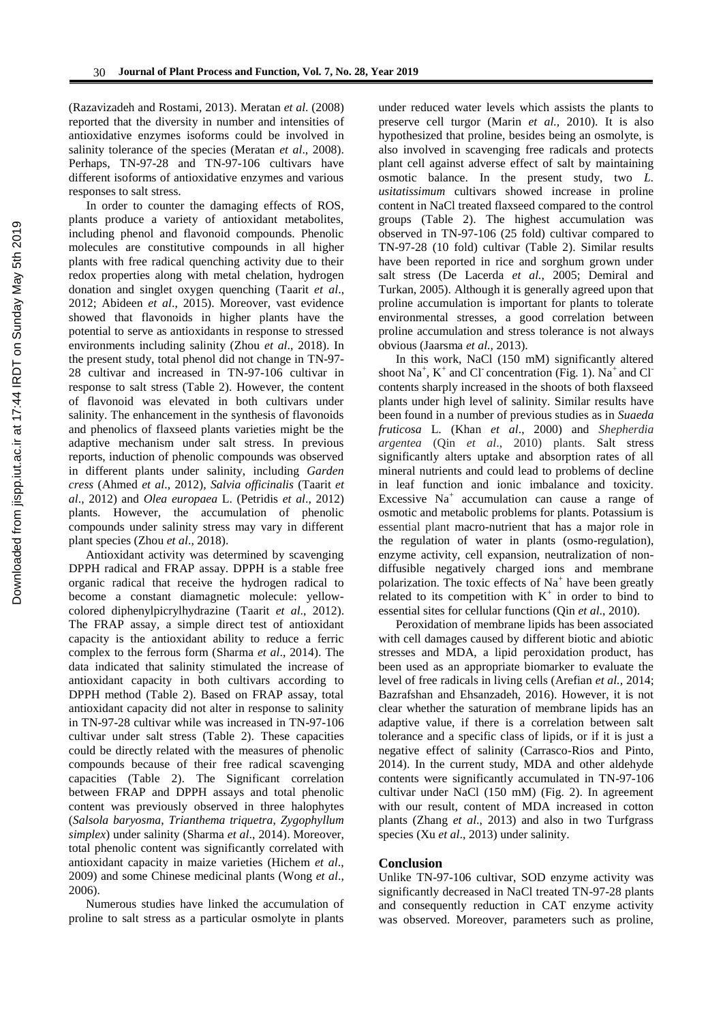(Razavizadeh and Rostami, 2013). Meratan *et al*. (2008) reported that the diversity in number and intensities of antioxidative enzymes isoforms could be involved in salinity tolerance of the species (Meratan *et al*., 2008). Perhaps, TN-97-28 and TN-97-106 cultivars have different isoforms of antioxidative enzymes and various responses to salt stress.

In order to counter the damaging effects of ROS, plants produce a variety of antioxidant metabolites, including phenol and flavonoid compounds. Phenolic molecules are constitutive compounds in all higher plants with free radical quenching activity due to their redox properties along with metal chelation, hydrogen donation and singlet oxygen quenching (Taarit *et al*., 2012; Abideen *et al*., 2015). Moreover, vast evidence showed that flavonoids in higher plants have the potential to serve as antioxidants in response to stressed environments including salinity (Zhou *et al*., 2018). In the present study, total phenol did not change in TN-97- 28 cultivar and increased in TN-97-106 cultivar in response to salt stress (Table 2). However, the content of flavonoid was elevated in both cultivars under salinity. The enhancement in the synthesis of flavonoids and phenolics of flaxseed plants varieties might be the adaptive mechanism under salt stress. In previous reports, induction of phenolic compounds was observed in different plants under salinity, including *Garden cress* (Ahmed *et al*., 2012), *Salvia officinalis* (Taarit *et al*., 2012) and *Olea europaea* L. (Petridis *et al*., 2012) plants. However, the accumulation of phenolic compounds under salinity stress may vary in different plant species (Zhou *et al*., 2018).

Antioxidant activity was determined by scavenging DPPH radical and FRAP assay. DPPH is a stable free organic radical that receive the hydrogen radical to become a constant diamagnetic molecule: yellowcolored diphenylpicrylhydrazine (Taarit *et al*., 2012). The FRAP assay, a simple direct test of antioxidant capacity is the antioxidant ability to reduce a ferric complex to the ferrous form (Sharma *et al*., 2014). The data indicated that salinity stimulated the increase of antioxidant capacity in both cultivars according to DPPH method (Table 2). Based on FRAP assay, total antioxidant capacity did not alter in response to salinity in TN-97-28 cultivar while was increased in TN-97-106 cultivar under salt stress (Table 2). These capacities could be directly related with the measures of phenolic compounds because of their free radical scavenging capacities (Table 2). The Significant correlation between FRAP and DPPH assays and total phenolic content was previously observed in three halophytes (*Salsola baryosma*, *Trianthema triquetra*, *Zygophyllum simplex*) under salinity (Sharma *et al*., 2014). Moreover, total phenolic content was significantly correlated with antioxidant capacity in maize varieties (Hichem *et al*., 2009) and some Chinese medicinal plants (Wong *et al*., 2006).

Numerous studies have linked the accumulation of proline to salt stress as a particular osmolyte in plants

under reduced water levels which assists the plants to preserve cell turgor (Marin *et al.,* 2010). It is also hypothesized that proline, besides being an osmolyte, is also involved in scavenging free radicals and protects plant cell against adverse effect of salt by maintaining osmotic balance. In the present study, two *L. usitatissimum* cultivars showed increase in proline content in NaCl treated flaxseed compared to the control groups (Table 2). The highest accumulation was observed in TN-97-106 (25 fold) cultivar compared to TN-97-28 (10 fold) cultivar (Table 2). Similar results have been reported in rice and sorghum grown under salt stress (De Lacerda *et al.,* 2005; Demiral and Turkan, 2005). Although it is generally agreed upon that proline accumulation is important for plants to tolerate environmental stresses, a good correlation between proline accumulation and stress tolerance is not always obvious (Jaarsma *et al.,* 2013).

In this work, NaCl (150 mM) significantly altered shoot  $Na^+$ ,  $K^+$  and Cl<sup>-</sup> concentration (Fig. 1).  $Na^+$  and Cl<sup>-</sup> contents sharply increased in the shoots of both flaxseed plants under high level of salinity. Similar results have been found in a number of previous studies as in *Suaeda fruticosa* L. (Khan *et al*., 2000) and *Shepherdia argentea* (Qin *et al*., 2010) plants. Salt stress significantly alters uptake and absorption rates of all mineral nutrients and could lead to problems of decline in leaf function and ionic imbalance and toxicity. Excessive Na<sup>+</sup> accumulation can cause a range of osmotic and metabolic problems for plants. Potassium is essential plant macro-nutrient that has a major role in the regulation of water in plants (osmo-regulation), enzyme activity, cell expansion, neutralization of nondiffusible negatively charged ions and membrane polarization. The toxic effects of Na<sup>+</sup> have been greatly related to its competition with  $K^+$  in order to bind to essential sites for cellular functions (Qin *et al*., 2010).

Peroxidation of membrane lipids has been associated with cell damages caused by different biotic and abiotic stresses and MDA, a lipid peroxidation product, has been used as an appropriate biomarker to evaluate the level of free radicals in living cells (Arefian *et al.,* 2014; Bazrafshan and Ehsanzadeh, 2016). However, it is not clear whether the saturation of membrane lipids has an adaptive value, if there is a correlation between salt tolerance and a specific class of lipids, or if it is just a negative effect of salinity (Carrasco-Rios and Pinto, 2014). In the current study, MDA and other aldehyde contents were significantly accumulated in TN-97-106 cultivar under NaCl (150 mM) (Fig. 2). In agreement with our result, content of MDA increased in cotton plants (Zhang *et al*., 2013) and also in two Turfgrass species (Xu *et al*., 2013) under salinity.

### **Conclusion**

Unlike TN-97-106 cultivar, SOD enzyme activity was significantly decreased in NaCl treated TN-97-28 plants and consequently reduction in CAT enzyme activity was observed. Moreover, parameters such as proline,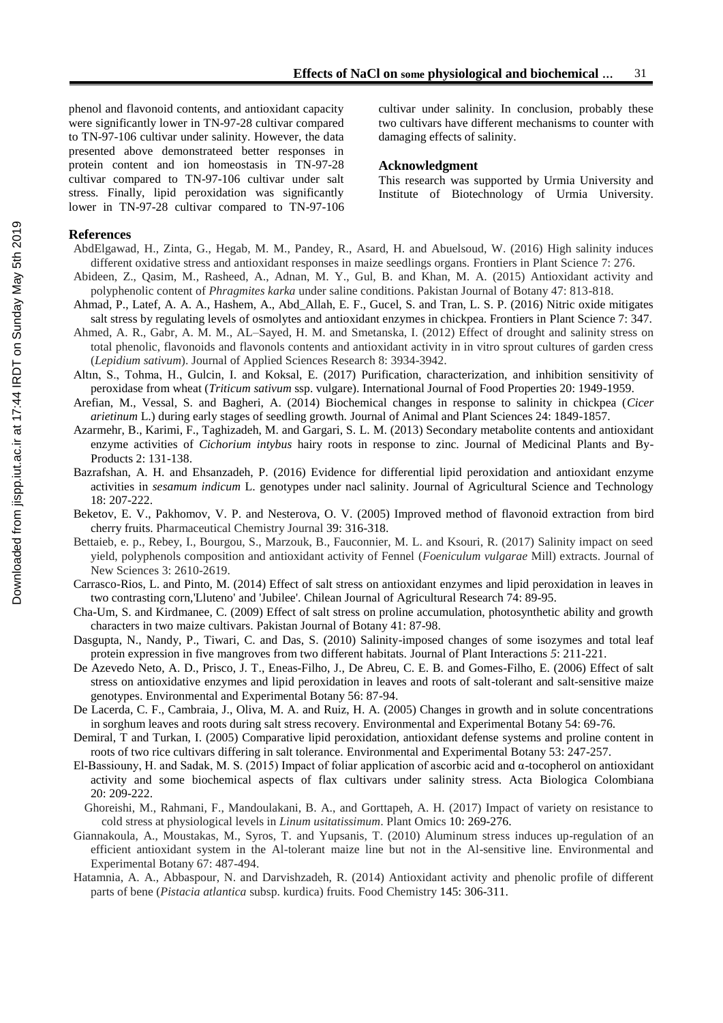damaging effects of salinity.

**Acknowledgment**

cultivar under salinity. In conclusion, probably these two cultivars have different mechanisms to counter with

This research was supported by Urmia University and Institute of Biotechnology of Urmia University.

phenol and flavonoid contents, and antioxidant capacity were significantly lower in TN-97-28 cultivar compared to TN-97-106 cultivar under salinity. However, the data presented above demonstrateed better responses in protein content and ion homeostasis in TN-97-28 cultivar compared to TN-97-106 cultivar under salt stress. Finally, lipid peroxidation was significantly lower in TN-97-28 cultivar compared to TN-97-106

### **References**

- AbdElgawad, H., Zinta, G., Hegab, M. M., Pandey, R., Asard, H. and Abuelsoud, W. (2016) High salinity induces different oxidative stress and antioxidant responses in maize seedlings organs. Frontiers in Plant Science 7: 276.
- Abideen, Z., Qasim, M., Rasheed, A., Adnan, M. Y., Gul, B. and Khan, M. A. (2015) Antioxidant activity and polyphenolic content of *Phragmites karka* under saline conditions. Pakistan Journal of Botany 47: 813-818.
- Ahmad, P., Latef, A. A. A., Hashem, A., Abd\_Allah, E. F., Gucel, S. and Tran, L. S. P. (2016) Nitric oxide mitigates salt stress by regulating levels of osmolytes and antioxidant enzymes in chickpea. Frontiers in Plant Science 7: 347.
- Ahmed, A. R., Gabr, A. M. M., AL–Sayed, H. M. and Smetanska, I. (2012) Effect of drought and salinity stress on total phenolic, flavonoids and flavonols contents and antioxidant activity in in vitro sprout cultures of garden cress (*Lepidium sativum*). Journal of Applied Sciences Research 8: 3934-3942.
- Altın, S., Tohma, H., Gulcin, I. and Koksal, E. (2017) Purification, characterization, and inhibition sensitivity of peroxidase from wheat (*Triticum sativum* ssp. vulgare). International Journal of Food Properties 20: 1949-1959.
- Arefian, M., Vessal, S. and Bagheri, A. (2014) Biochemical changes in response to salinity in chickpea (*Cicer arietinum* L.) during early stages of seedling growth. Journal of Animal and Plant Sciences 24: 1849-1857.
- Azarmehr, B., Karimi, F., Taghizadeh, M. and Gargari, S. L. M. (2013) Secondary metabolite contents and antioxidant enzyme activities of *Cichorium intybus* hairy roots in response to zinc. Journal of Medicinal Plants and By-Products 2: 131-138.
- Bazrafshan, A. H. and Ehsanzadeh, P. (2016) Evidence for differential lipid peroxidation and antioxidant enzyme activities in *sesamum indicum* L. genotypes under nacl salinity. Journal of Agricultural Science and Technology 18: 207-222.
- Beketov, E. V., Pakhomov, V. P. and Nesterova, O. V. (2005) Improved method of flavonoid extraction from bird cherry fruits. Pharmaceutical Chemistry Journal 39: 316-318.
- Bettaieb, e. p., Rebey, I., Bourgou, S., Marzouk, B., Fauconnier, M. L. and Ksouri, R. (2017) Salinity impact on seed yield, polyphenols composition and antioxidant activity of Fennel (*Foeniculum vulgarae* Mill) extracts. Journal of New Sciences 3: 2610-2619.
- Carrasco-Rios, L. and Pinto, M. (2014) Effect of salt stress on antioxidant enzymes and lipid peroxidation in leaves in two contrasting corn,'Lluteno' and 'Jubilee'. Chilean Journal of Agricultural Research 74: 89-95.
- Cha-Um, S. and Kirdmanee, C. (2009) Effect of salt stress on proline accumulation, photosynthetic ability and growth characters in two maize cultivars. Pakistan Journal of Botany 41: 87-98.
- Dasgupta, N., Nandy, P., Tiwari, C. and Das, S. (2010) Salinity-imposed changes of some isozymes and total leaf protein expression in five mangroves from two different habitats. Journal of Plant Interactions *5*: 211-221.
- De Azevedo Neto, A. D., Prisco, J. T., Eneas-Filho, J., De Abreu, C. E. B. and Gomes-Filho, E. (2006) Effect of salt stress on antioxidative enzymes and lipid peroxidation in leaves and roots of salt-tolerant and salt-sensitive maize genotypes. Environmental and Experimental Botany 56: 87-94.
- De Lacerda, C. F., Cambraia, J., Oliva, M. A. and Ruiz, H. A. (2005) Changes in growth and in solute concentrations in sorghum leaves and roots during salt stress recovery. Environmental and Experimental Botany 54: 69-76.
- Demiral, T and Turkan, I. (2005) Comparative lipid peroxidation, antioxidant defense systems and proline content in roots of two rice cultivars differing in salt tolerance. Environmental and Experimental Botany 53: 247-257.
- El-Bassiouny, H. and Sadak, M. S. (2015) Impact of foliar application of ascorbic acid and α-tocopherol on antioxidant activity and some biochemical aspects of flax cultivars under salinity stress. Acta Biologica Colombiana 20: 209-222.
	- Ghoreishi, M., Rahmani, F., Mandoulakani, B. A., and Gorttapeh, A. H. (2017) Impact of variety on resistance to cold stress at physiological levels in *Linum usitatissimum*. Plant Omics 10: 269-276.
- Giannakoula, A., Moustakas, M., Syros, T. and Yupsanis, T. (2010) Aluminum stress induces up-regulation of an efficient antioxidant system in the Al-tolerant maize line but not in the Al-sensitive line. Environmental and Experimental Botany 67: 487-494.
- Hatamnia, A. A., Abbaspour, N. and Darvishzadeh, R. (2014) Antioxidant activity and phenolic profile of different parts of bene (*Pistacia atlantica* subsp. kurdica) fruits. Food Chemistry 145: 306-311.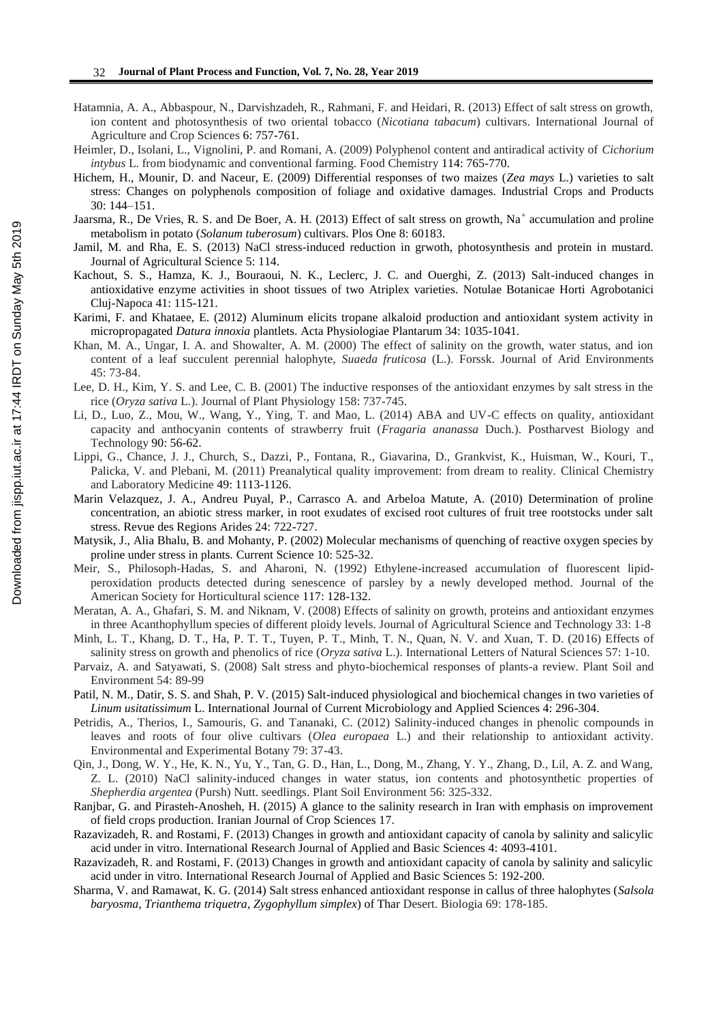- Hatamnia, A. A., Abbaspour, N., Darvishzadeh, R., Rahmani, F. and Heidari, R. (2013) Effect of salt stress on growth, ion content and photosynthesis of two oriental tobacco (*Nicotiana tabacum*) cultivars. International Journal of Agriculture and Crop Sciences 6: 757-761.
- Heimler, D., Isolani, L., Vignolini, P. and Romani, A. (2009) Polyphenol content and antiradical activity of *Cichorium intybus* L. from biodynamic and conventional farming. Food Chemistry 114: 765-770.
- Hichem, H., Mounir, D. and Naceur, E. (2009) Differential responses of two maizes (*Zea mays* L.) varieties to salt stress: Changes on polyphenols composition of foliage and oxidative damages. Industrial Crops and Products 30: 144–151.
- Jaarsma, R., De Vries, R. S. and De Boer, A. H. (2013) Effect of salt stress on growth, Na<sup>+</sup> accumulation and proline metabolism in potato (*Solanum tuberosum*) cultivars. Plos One 8: 60183.
- Jamil, M. and Rha, E. S. (2013) NaCl stress-induced reduction in grwoth, photosynthesis and protein in mustard. Journal of Agricultural Science 5: 114.
- Kachout, S. S., Hamza, K. J., Bouraoui, N. K., Leclerc, J. C. and Ouerghi, Z. (2013) Salt-induced changes in antioxidative enzyme activities in shoot tissues of two Atriplex varieties. Notulae Botanicae Horti Agrobotanici Cluj-Napoca 41: 115-121.
- Karimi, F. and Khataee, E. (2012) Aluminum elicits tropane alkaloid production and antioxidant system activity in micropropagated *Datura innoxia* plantlets. Acta Physiologiae Plantarum 34: 1035-1041.
- Khan, M. A., Ungar, I. A. and Showalter, A. M. (2000) The effect of salinity on the growth, water status, and ion content of a leaf succulent perennial halophyte, *Suaeda fruticosa* (L.). Forssk. Journal of Arid Environments 45: 73-84.
- Lee, D. H., Kim, Y. S. and Lee, C. B. (2001) The inductive responses of the antioxidant enzymes by salt stress in the rice (*Oryza sativa* L.). Journal of Plant Physiology 158: 737-745.
- Li, D., Luo, Z., Mou, W., Wang, Y., Ying, T. and Mao, L. (2014) ABA and UV-C effects on quality, antioxidant capacity and anthocyanin contents of strawberry fruit (*Fragaria ananassa* Duch.). Postharvest Biology and Technology 90: 56-62.
- Lippi, G., Chance, J. J., Church, S., Dazzi, P., Fontana, R., Giavarina, D., Grankvist, K., Huisman, W., Kouri, T., Palicka, V. and Plebani, M. (2011) Preanalytical quality improvement: from dream to reality. Clinical Chemistry and Laboratory Medicine 49: 1113-1126.
- Marin Velazquez, J. A., Andreu Puyal, P., Carrasco A. and Arbeloa Matute, A. (2010) Determination of proline concentration, an abiotic stress marker, in root exudates of excised root cultures of fruit tree rootstocks under salt stress. Revue des Regions Arides 24: 722-727.
- Matysik, J., Alia Bhalu, B. and Mohanty, P. (2002) Molecular mechanisms of quenching of reactive oxygen species by proline under stress in plants. Current Science 10: 525-32.
- Meir, S., Philosoph-Hadas, S. and Aharoni, N. (1992) Ethylene-increased accumulation of fluorescent lipidperoxidation products detected during senescence of parsley by a newly developed method. Journal of the American Society for Horticultural science 117: 128-132.
- Meratan, A. A., Ghafari, S. M. and Niknam, V. (2008) Effects of salinity on growth, proteins and antioxidant enzymes in three Acanthophyllum species of different ploidy levels. Journal of Agricultural Science and Technology 33: 1-8
- Minh, L. T., Khang, D. T., Ha, P. T. T., Tuyen, P. T., Minh, T. N., Quan, N. V. and Xuan, T. D. (2016) Effects of salinity stress on growth and phenolics of rice (*Oryza sativa* L.). International Letters of Natural Sciences 57: 1-10.
- Parvaiz, A. and Satyawati, S. (2008) Salt stress and phyto-biochemical responses of plants-a review. Plant Soil and Environment 54: 89-99
- Patil, N. M., Datir, S. S. and Shah, P. V. (2015) Salt-induced physiological and biochemical changes in two varieties of *Linum usitatissimum* L. International Journal of Current Microbiology and Applied Sciences 4: 296-304.
- Petridis, A., Therios, I., Samouris, G. and Tananaki, C. (2012) Salinity-induced changes in phenolic compounds in leaves and roots of four olive cultivars (*Olea europaea* L.) and their relationship to antioxidant activity. Environmental and Experimental Botany 79: 37-43.
- Qin, J., Dong, W. Y., He, K. N., Yu, Y., Tan, G. D., Han, L., Dong, M., Zhang, Y. Y., Zhang, D., Lil, A. Z. and Wang, Z. L. (2010) NaCl salinity-induced changes in water status, ion contents and photosynthetic properties of *Shepherdia argentea* (Pursh) Nutt. seedlings. Plant Soil Environment 56: 325-332.
- Ranjbar, G. and Pirasteh-Anosheh, H. (2015) A glance to the salinity research in Iran with emphasis on improvement of field crops production. Iranian Journal of Crop Sciences 17.
- Razavizadeh, R. and Rostami, F. (2013) Changes in growth and antioxidant capacity of canola by salinity and salicylic acid under in vitro. International Research Journal of Applied and Basic Sciences 4: 4093-4101.
- Razavizadeh, R. and Rostami, F. (2013) Changes in growth and antioxidant capacity of canola by salinity and salicylic acid under in vitro. International Research Journal of Applied and Basic Sciences 5: 192-200.
- Sharma, V. and Ramawat, K. G. (2014) Salt stress enhanced antioxidant response in callus of three halophytes (*Salsola baryosma*, *Trianthema triquetra*, *Zygophyllum simplex*) of Thar Desert. Biologia 69: 178-185.